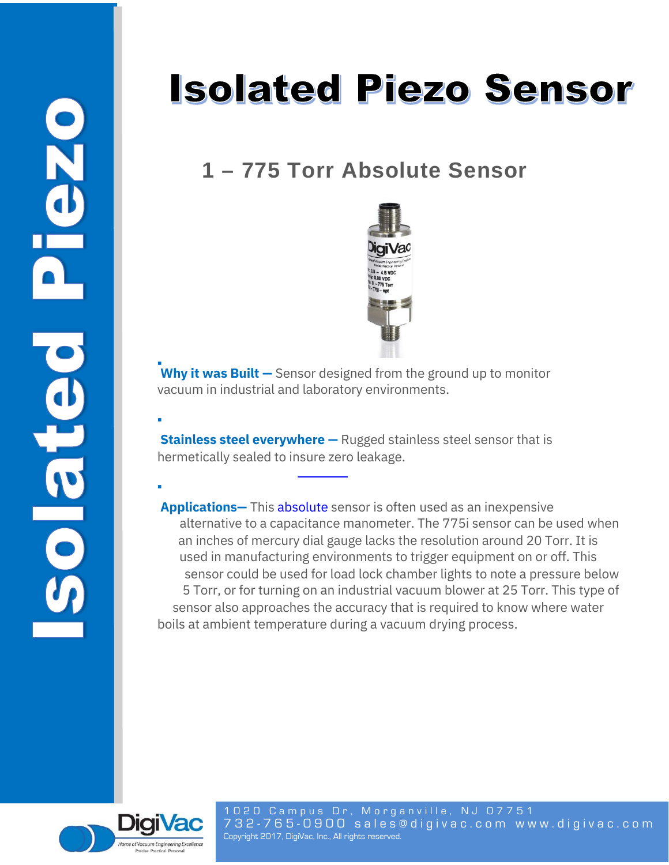▪

▪

## **Isolated Piezo Sensor**

## **1 – 775 Torr Absolute Sensor**



**Why it was Built** – Sensor designed from the ground up to monitor vacuum in industrial and laboratory environments.

**Stainless steel everywhere —** Rugged stainless steel sensor that is hermetically sealed to insure zero leakage.

**Applications—** This absolute sensor is often used as an inexpensive alternative to a capacitance manometer. The 775i sensor can be used when an inches of mercury dial gauge lacks the resolution around 20 Torr. It is used in manufacturing environments to trigger equipment on or off. This sensor could be used for load lock chamber lights to note a pressure below 5 Torr, or for turning on an industrial vacuum blower at 25 Torr. This type of sensor also approaches the accuracy that is required to know where water boils at ambient temperature during a vacuum drying process.